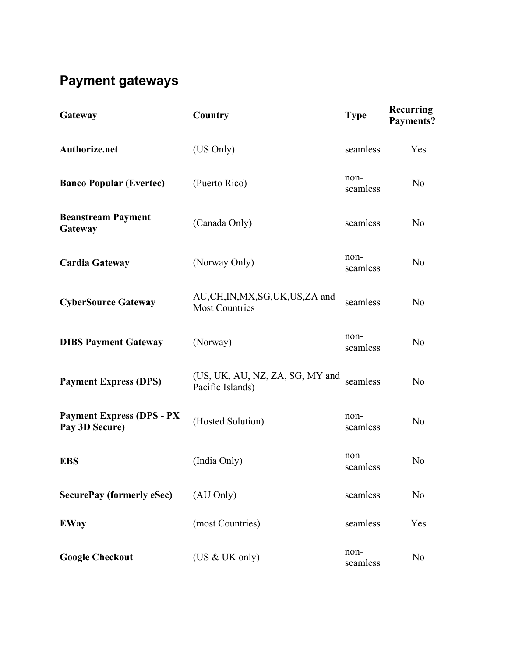## **Payment gateways**

| Gateway                                            | Country                                              | <b>Type</b>      | <b>Recurring</b><br>Payments? |
|----------------------------------------------------|------------------------------------------------------|------------------|-------------------------------|
| <b>Authorize.net</b>                               | (US Only)                                            | seamless         | Yes                           |
| <b>Banco Popular (Evertec)</b>                     | (Puerto Rico)                                        | non-<br>seamless | N <sub>0</sub>                |
| <b>Beanstream Payment</b><br>Gateway               | (Canada Only)                                        | seamless         | N <sub>0</sub>                |
| <b>Cardia Gateway</b>                              | (Norway Only)                                        | non-<br>seamless | N <sub>0</sub>                |
| <b>CyberSource Gateway</b>                         | AU,CH,IN,MX,SG,UK,US,ZA and<br><b>Most Countries</b> | seamless         | N <sub>0</sub>                |
| <b>DIBS Payment Gateway</b>                        | (Norway)                                             | non-<br>seamless | N <sub>o</sub>                |
| <b>Payment Express (DPS)</b>                       | (US, UK, AU, NZ, ZA, SG, MY and<br>Pacific Islands)  | seamless         | N <sub>0</sub>                |
| <b>Payment Express (DPS - PX</b><br>Pay 3D Secure) | (Hosted Solution)                                    | non-<br>seamless | N <sub>0</sub>                |
| <b>EBS</b>                                         | (India Only)                                         | non-<br>seamless | N <sub>o</sub>                |
| <b>SecurePay (formerly eSec)</b>                   | (AU Only)                                            | seamless         | N <sub>o</sub>                |
| <b>EWay</b>                                        | (most Countries)                                     | seamless         | Yes                           |
| <b>Google Checkout</b>                             | (US & UK only)                                       | non-<br>seamless | N <sub>0</sub>                |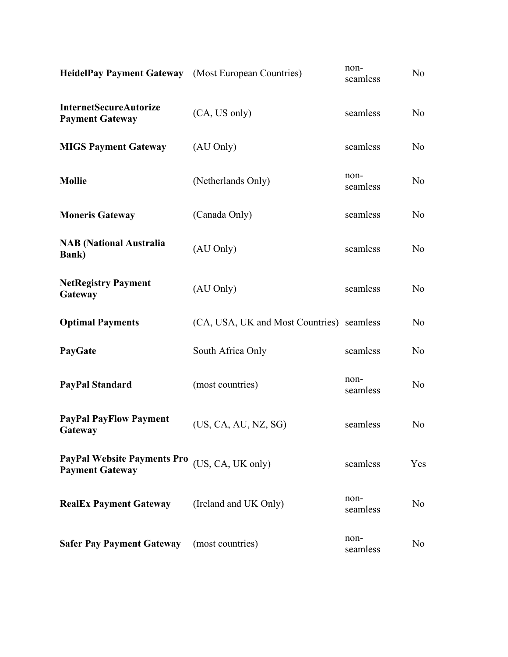| HeidelPay Payment Gateway (Most European Countries)          |                                           | non-<br>seamless | No.            |
|--------------------------------------------------------------|-------------------------------------------|------------------|----------------|
| <b>InternetSecureAutorize</b><br><b>Payment Gateway</b>      | (CA, US only)                             | seamless         | N <sub>o</sub> |
| <b>MIGS Payment Gateway</b>                                  | (AU Only)                                 | seamless         | N <sub>o</sub> |
| <b>Mollie</b>                                                | (Netherlands Only)                        | non-<br>seamless | N <sub>0</sub> |
| <b>Moneris Gateway</b>                                       | (Canada Only)                             | seamless         | N <sub>0</sub> |
| <b>NAB</b> (National Australia<br><b>Bank</b> )              | (AU Only)                                 | seamless         | N <sub>0</sub> |
| <b>NetRegistry Payment</b><br>Gateway                        | (AU Only)                                 | seamless         | N <sub>0</sub> |
| <b>Optimal Payments</b>                                      | (CA, USA, UK and Most Countries) seamless |                  | N <sub>o</sub> |
| PayGate                                                      | South Africa Only                         | seamless         | N <sub>o</sub> |
| <b>PayPal Standard</b>                                       | (most countries)                          | non-<br>seamless | N <sub>o</sub> |
| <b>PayPal PayFlow Payment</b><br>Gateway                     | (US, CA, AU, NZ, SG)                      | seamless         | N <sub>0</sub> |
| <b>PayPal Website Payments Pro</b><br><b>Payment Gateway</b> | (US, CA, UK only)                         | seamless         | Yes            |
| <b>RealEx Payment Gateway</b>                                | (Ireland and UK Only)                     | non-<br>seamless | No             |
| <b>Safer Pay Payment Gateway</b>                             | (most countries)                          | non-<br>seamless | N <sub>0</sub> |